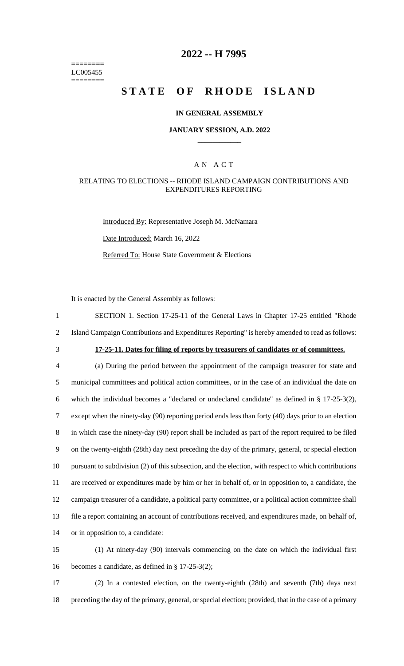======== LC005455 ========

## **2022 -- H 7995**

# **STATE OF RHODE ISLAND**

#### **IN GENERAL ASSEMBLY**

#### **JANUARY SESSION, A.D. 2022 \_\_\_\_\_\_\_\_\_\_\_\_**

### A N A C T

#### RELATING TO ELECTIONS -- RHODE ISLAND CAMPAIGN CONTRIBUTIONS AND EXPENDITURES REPORTING

Introduced By: Representative Joseph M. McNamara Date Introduced: March 16, 2022 Referred To: House State Government & Elections

It is enacted by the General Assembly as follows:

1 SECTION 1. Section 17-25-11 of the General Laws in Chapter 17-25 entitled "Rhode 2 Island Campaign Contributions and Expenditures Reporting" is hereby amended to read as follows:

## 3 **17-25-11. Dates for filing of reports by treasurers of candidates or of committees.**

 (a) During the period between the appointment of the campaign treasurer for state and municipal committees and political action committees, or in the case of an individual the date on which the individual becomes a "declared or undeclared candidate" as defined in § 17-25-3(2), except when the ninety-day (90) reporting period ends less than forty (40) days prior to an election in which case the ninety-day (90) report shall be included as part of the report required to be filed on the twenty-eighth (28th) day next preceding the day of the primary, general, or special election pursuant to subdivision (2) of this subsection, and the election, with respect to which contributions are received or expenditures made by him or her in behalf of, or in opposition to, a candidate, the campaign treasurer of a candidate, a political party committee, or a political action committee shall file a report containing an account of contributions received, and expenditures made, on behalf of, or in opposition to, a candidate:

15 (1) At ninety-day (90) intervals commencing on the date on which the individual first 16 becomes a candidate, as defined in § 17-25-3(2);

17 (2) In a contested election, on the twenty-eighth (28th) and seventh (7th) days next 18 preceding the day of the primary, general, or special election; provided, that in the case of a primary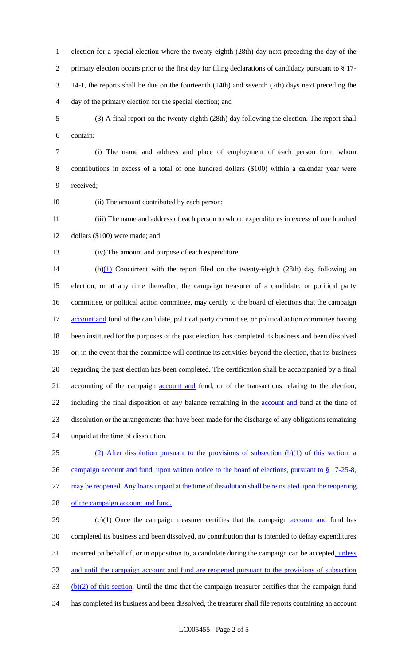election for a special election where the twenty-eighth (28th) day next preceding the day of the primary election occurs prior to the first day for filing declarations of candidacy pursuant to § 17- 14-1, the reports shall be due on the fourteenth (14th) and seventh (7th) days next preceding the day of the primary election for the special election; and

 (3) A final report on the twenty-eighth (28th) day following the election. The report shall contain:

 (i) The name and address and place of employment of each person from whom contributions in excess of a total of one hundred dollars (\$100) within a calendar year were received;

10 (ii) The amount contributed by each person;

 (iii) The name and address of each person to whom expenditures in excess of one hundred dollars (\$100) were made; and

(iv) The amount and purpose of each expenditure.

14 (b)(1) Concurrent with the report filed on the twenty-eighth (28th) day following an election, or at any time thereafter, the campaign treasurer of a candidate, or political party committee, or political action committee, may certify to the board of elections that the campaign 17 account and fund of the candidate, political party committee, or political action committee having been instituted for the purposes of the past election, has completed its business and been dissolved or, in the event that the committee will continue its activities beyond the election, that its business regarding the past election has been completed. The certification shall be accompanied by a final 21 accounting of the campaign <u>account and</u> fund, or of the transactions relating to the election, 22 including the final disposition of any balance remaining in the **account and** fund at the time of dissolution or the arrangements that have been made for the discharge of any obligations remaining unpaid at the time of dissolution.

 (2) After dissolution pursuant to the provisions of subsection (b)(1) of this section, a 26 campaign account and fund, upon written notice to the board of elections, pursuant to § 17-25-8, may be reopened. Any loans unpaid at the time of dissolution shall be reinstated upon the reopening 28 of the campaign account and fund.

 (c)(1) Once the campaign treasurer certifies that the campaign **account and** fund has completed its business and been dissolved, no contribution that is intended to defray expenditures 31 incurred on behalf of, or in opposition to, a candidate during the campaign can be accepted, unless 32 and until the campaign account and fund are reopened pursuant to the provisions of subsection (b)(2) of this section. Until the time that the campaign treasurer certifies that the campaign fund has completed its business and been dissolved, the treasurer shall file reports containing an account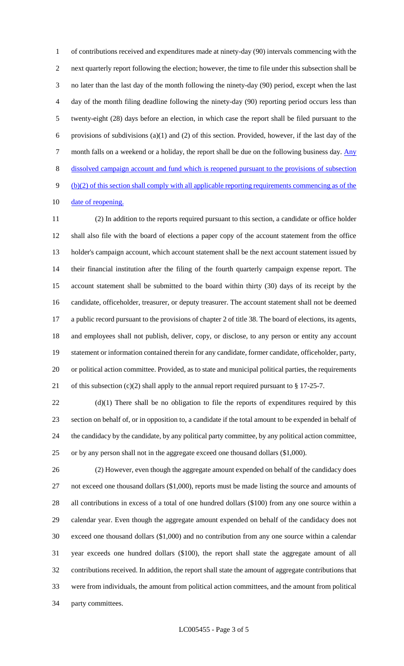of contributions received and expenditures made at ninety-day (90) intervals commencing with the next quarterly report following the election; however, the time to file under this subsection shall be no later than the last day of the month following the ninety-day (90) period, except when the last day of the month filing deadline following the ninety-day (90) reporting period occurs less than twenty-eight (28) days before an election, in which case the report shall be filed pursuant to the 6 provisions of subdivisions (a)(1) and (2) of this section. Provided, however, if the last day of the 7 month falls on a weekend or a holiday, the report shall be due on the following business day. Any dissolved campaign account and fund which is reopened pursuant to the provisions of subsection (b)(2) of this section shall comply with all applicable reporting requirements commencing as of the 10 date of reopening.

 (2) In addition to the reports required pursuant to this section, a candidate or office holder shall also file with the board of elections a paper copy of the account statement from the office holder's campaign account, which account statement shall be the next account statement issued by their financial institution after the filing of the fourth quarterly campaign expense report. The account statement shall be submitted to the board within thirty (30) days of its receipt by the candidate, officeholder, treasurer, or deputy treasurer. The account statement shall not be deemed a public record pursuant to the provisions of chapter 2 of title 38. The board of elections, its agents, and employees shall not publish, deliver, copy, or disclose, to any person or entity any account statement or information contained therein for any candidate, former candidate, officeholder, party, or political action committee. Provided, as to state and municipal political parties, the requirements 21 of this subsection  $(c)(2)$  shall apply to the annual report required pursuant to § 17-25-7.

22 (d)(1) There shall be no obligation to file the reports of expenditures required by this section on behalf of, or in opposition to, a candidate if the total amount to be expended in behalf of the candidacy by the candidate, by any political party committee, by any political action committee, or by any person shall not in the aggregate exceed one thousand dollars (\$1,000).

 (2) However, even though the aggregate amount expended on behalf of the candidacy does 27 not exceed one thousand dollars (\$1,000), reports must be made listing the source and amounts of all contributions in excess of a total of one hundred dollars (\$100) from any one source within a calendar year. Even though the aggregate amount expended on behalf of the candidacy does not exceed one thousand dollars (\$1,000) and no contribution from any one source within a calendar year exceeds one hundred dollars (\$100), the report shall state the aggregate amount of all contributions received. In addition, the report shall state the amount of aggregate contributions that were from individuals, the amount from political action committees, and the amount from political party committees.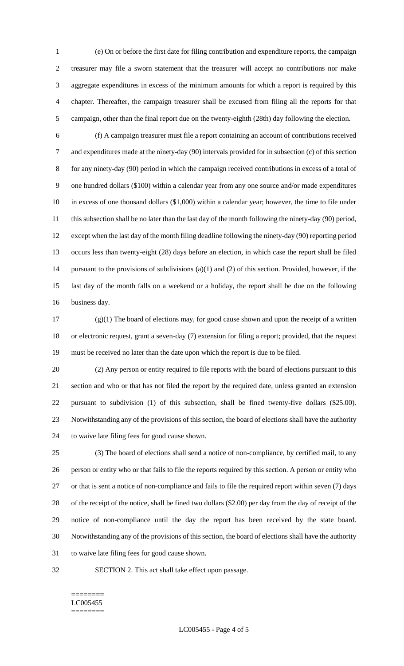(e) On or before the first date for filing contribution and expenditure reports, the campaign treasurer may file a sworn statement that the treasurer will accept no contributions nor make aggregate expenditures in excess of the minimum amounts for which a report is required by this chapter. Thereafter, the campaign treasurer shall be excused from filing all the reports for that campaign, other than the final report due on the twenty-eighth (28th) day following the election.

 (f) A campaign treasurer must file a report containing an account of contributions received and expenditures made at the ninety-day (90) intervals provided for in subsection (c) of this section for any ninety-day (90) period in which the campaign received contributions in excess of a total of one hundred dollars (\$100) within a calendar year from any one source and/or made expenditures in excess of one thousand dollars (\$1,000) within a calendar year; however, the time to file under 11 this subsection shall be no later than the last day of the month following the ninety-day (90) period, except when the last day of the month filing deadline following the ninety-day (90) reporting period occurs less than twenty-eight (28) days before an election, in which case the report shall be filed pursuant to the provisions of subdivisions (a)(1) and (2) of this section. Provided, however, if the last day of the month falls on a weekend or a holiday, the report shall be due on the following business day.

 $(g)(1)$  The board of elections may, for good cause shown and upon the receipt of a written or electronic request, grant a seven-day (7) extension for filing a report; provided, that the request must be received no later than the date upon which the report is due to be filed.

 (2) Any person or entity required to file reports with the board of elections pursuant to this section and who or that has not filed the report by the required date, unless granted an extension pursuant to subdivision (1) of this subsection, shall be fined twenty-five dollars (\$25.00). Notwithstanding any of the provisions of this section, the board of elections shall have the authority to waive late filing fees for good cause shown.

 (3) The board of elections shall send a notice of non-compliance, by certified mail, to any person or entity who or that fails to file the reports required by this section. A person or entity who or that is sent a notice of non-compliance and fails to file the required report within seven (7) days of the receipt of the notice, shall be fined two dollars (\$2.00) per day from the day of receipt of the notice of non-compliance until the day the report has been received by the state board. Notwithstanding any of the provisions of this section, the board of elections shall have the authority to waive late filing fees for good cause shown.

SECTION 2. This act shall take effect upon passage.

#### ======== LC005455 ========